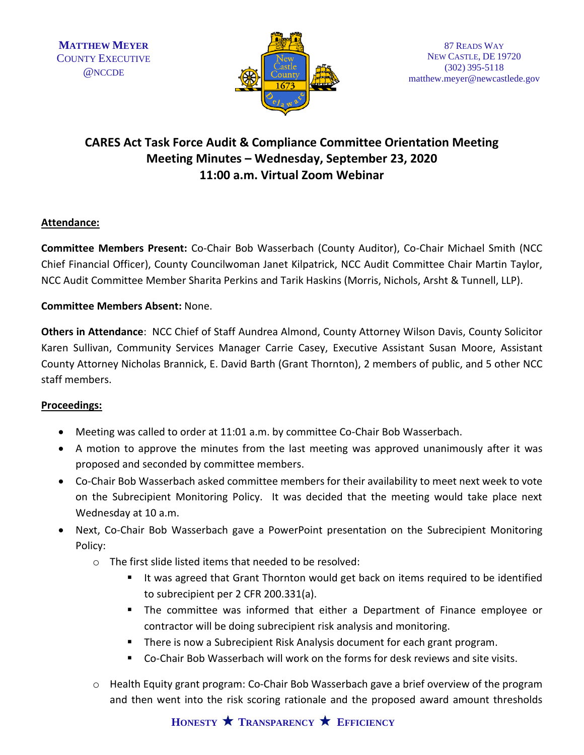

# **CARES Act Task Force Audit & Compliance Committee Orientation Meeting Meeting Minutes – Wednesday, September 23, 2020 11:00 a.m. Virtual Zoom Webinar**

## **Attendance:**

**Committee Members Present:** Co-Chair Bob Wasserbach (County Auditor), Co-Chair Michael Smith (NCC Chief Financial Officer), County Councilwoman Janet Kilpatrick, NCC Audit Committee Chair Martin Taylor, NCC Audit Committee Member Sharita Perkins and Tarik Haskins (Morris, Nichols, Arsht & Tunnell, LLP).

## **Committee Members Absent:** None.

**Others in Attendance**: NCC Chief of Staff Aundrea Almond, County Attorney Wilson Davis, County Solicitor Karen Sullivan, Community Services Manager Carrie Casey, Executive Assistant Susan Moore, Assistant County Attorney Nicholas Brannick, E. David Barth (Grant Thornton), 2 members of public, and 5 other NCC staff members.

## **Proceedings:**

- Meeting was called to order at 11:01 a.m. by committee Co-Chair Bob Wasserbach.
- A motion to approve the minutes from the last meeting was approved unanimously after it was proposed and seconded by committee members.
- Co-Chair Bob Wasserbach asked committee members for their availability to meet next week to vote on the Subrecipient Monitoring Policy. It was decided that the meeting would take place next Wednesday at 10 a.m.
- Next, Co-Chair Bob Wasserbach gave a PowerPoint presentation on the Subrecipient Monitoring Policy:
	- o The first slide listed items that needed to be resolved:
		- It was agreed that Grant Thornton would get back on items required to be identified to subrecipient per 2 CFR 200.331(a).
		- The committee was informed that either a Department of Finance employee or contractor will be doing subrecipient risk analysis and monitoring.
		- There is now a Subrecipient Risk Analysis document for each grant program.
		- Co-Chair Bob Wasserbach will work on the forms for desk reviews and site visits.
	- o Health Equity grant program: Co-Chair Bob Wasserbach gave a brief overview of the program and then went into the risk scoring rationale and the proposed award amount thresholds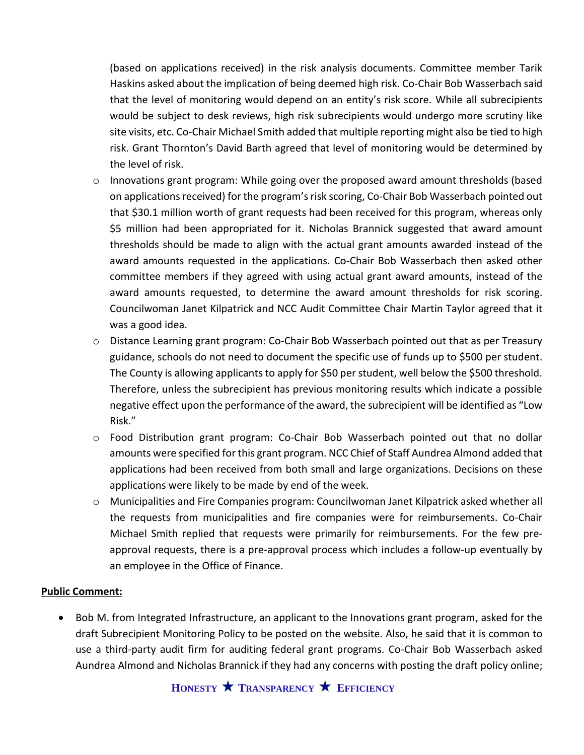(based on applications received) in the risk analysis documents. Committee member Tarik Haskins asked about the implication of being deemed high risk. Co-Chair Bob Wasserbach said that the level of monitoring would depend on an entity's risk score. While all subrecipients would be subject to desk reviews, high risk subrecipients would undergo more scrutiny like site visits, etc. Co-Chair Michael Smith added that multiple reporting might also be tied to high risk. Grant Thornton's David Barth agreed that level of monitoring would be determined by the level of risk.

- o Innovations grant program: While going over the proposed award amount thresholds (based on applications received) for the program's risk scoring, Co-Chair Bob Wasserbach pointed out that \$30.1 million worth of grant requests had been received for this program, whereas only \$5 million had been appropriated for it. Nicholas Brannick suggested that award amount thresholds should be made to align with the actual grant amounts awarded instead of the award amounts requested in the applications. Co-Chair Bob Wasserbach then asked other committee members if they agreed with using actual grant award amounts, instead of the award amounts requested, to determine the award amount thresholds for risk scoring. Councilwoman Janet Kilpatrick and NCC Audit Committee Chair Martin Taylor agreed that it was a good idea.
- o Distance Learning grant program: Co-Chair Bob Wasserbach pointed out that as per Treasury guidance, schools do not need to document the specific use of funds up to \$500 per student. The County is allowing applicants to apply for \$50 per student, well below the \$500 threshold. Therefore, unless the subrecipient has previous monitoring results which indicate a possible negative effect upon the performance of the award, the subrecipient will be identified as "Low Risk."
- o Food Distribution grant program: Co-Chair Bob Wasserbach pointed out that no dollar amounts were specified for this grant program. NCC Chief of Staff Aundrea Almond added that applications had been received from both small and large organizations. Decisions on these applications were likely to be made by end of the week.
- o Municipalities and Fire Companies program: Councilwoman Janet Kilpatrick asked whether all the requests from municipalities and fire companies were for reimbursements. Co-Chair Michael Smith replied that requests were primarily for reimbursements. For the few preapproval requests, there is a pre-approval process which includes a follow-up eventually by an employee in the Office of Finance.

#### **Public Comment:**

• Bob M. from Integrated Infrastructure, an applicant to the Innovations grant program, asked for the draft Subrecipient Monitoring Policy to be posted on the website. Also, he said that it is common to use a third-party audit firm for auditing federal grant programs. Co-Chair Bob Wasserbach asked Aundrea Almond and Nicholas Brannick if they had any concerns with posting the draft policy online;

**HONESTY TRANSPARENCY EFFICIENCY**